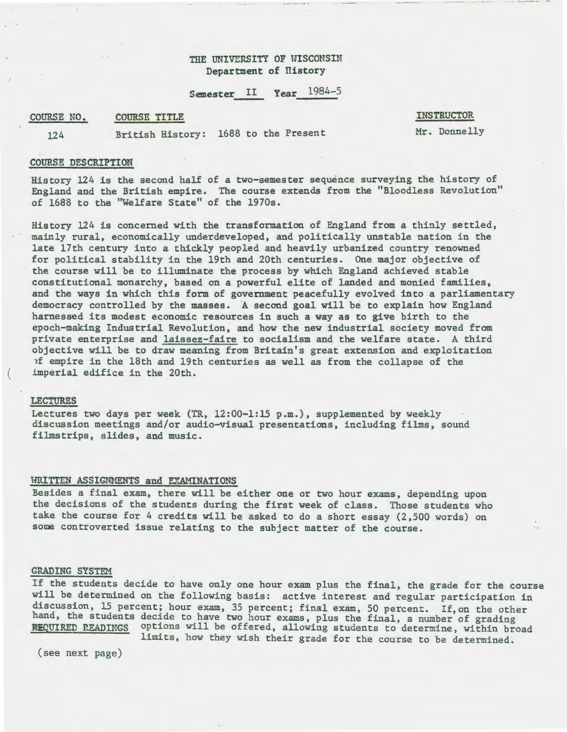## THE UNIVERSITY OF WISCONSIN Department of History

## Semester II Year 1984-5

#### COURSE TITLE COURSE NO.

#### INSTRUCTOR

124 British History: 1688 to the Present

Mr. Donnelly

#### COURSE DESCRIPTION

History 124 is the second half of a two-semester sequence surveying the history of England and the British empire. The course extends from the "Bloodless Revolution" of 1688 to the "Welfare State" of the 1970s.

History 124 is concerned with the transformation of England from a thinly settled, mainly rural, economically underdeveloped, and politically unstable nation in the late 17th century into a thickly peopled and heavily urbanized country renowned for political stability in the 19th and 20th centuries. One major objective of the course will be to illuminate the process by which England achieved stable constitutional monarchy, based on a powerful elite of landed and monied families, and the ways in which this form of government peacefully evolved into a parliamentary democracy controlled by the masses. A second goal will be to explain how England harnessed its modest economic resources in such a way as to give birth to the epoch-making Industrial Revolution, and how the new industrial society moved from private enterprise and laissez-faire to socialism and the welfare state. A third objective will be to draw meaning from Britain's great extension and exploitation 1f empire in the 18th and 19th centuries as well as from the collapse of the imperial edifice in the 20th.

### LECTURES

Lectures two days per week (TR, 12:00-1:15 p.m.), supplemented by weekly discussion meetings and/or audio-visual presentations, including films, sound filmstrips, slides, and music.

#### HRITTEN ASSIGNMENTS and EXAMINATIONS

Besides a final exam, there will be either one or two hour exams, depending upon the decisions of the students during the first week of class. Those students who take the course for 4 credits will be asked to do a short essay (2,500 words) on some controverted issue relating to the subject matter of the course.

### GRADING SYSTEM

If the students decide to have only one hour exam plus the final, the grade for the course will be determined on the following basis: active interest and regular participation in discussion, 15 percent; hour exam, 35 percent; final exam, 50 percent. If, on the other hand, the students decide to have two hour exams, plus the final, a number of grading REQUIRED READINGS options will be offered, allowing students to determine, within broad

limits, how they wish their grade for the course to be determined.

(see next page)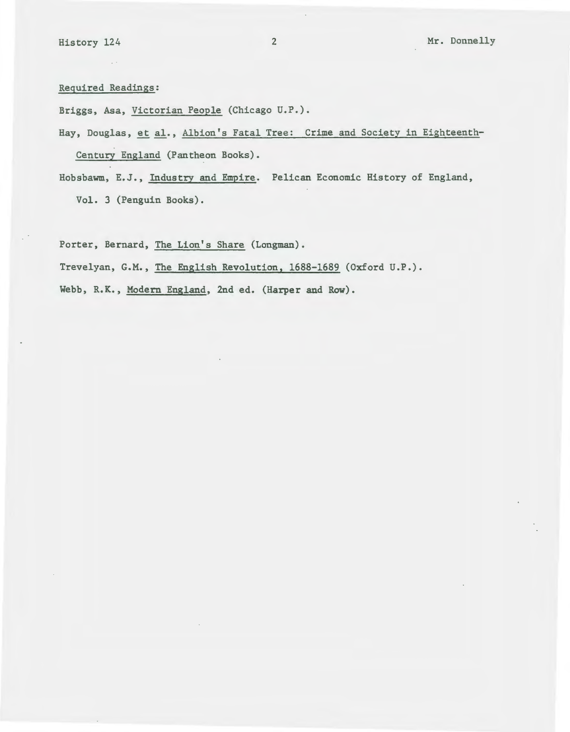Required Readings:

Briggs, Asa, Victorian People (Chicago U.P.).

Hay, Douglas, et al., Albion's Fatal Tree: Crime and Society in Eighteenth-

Century England (Pantheon Books).

Hobsbawm, E.J., Industry and Empire. Pelican Economic History of England,

Vol. 3 (Penguin Books).

Porter, Bernard, The Lion's Share (Longman).

Trevelyan, G.M., The English Revolution, 1688-1689 (Oxford U.P.).

Webb, R.K., Modern England, 2nd ed. (Harper and Row).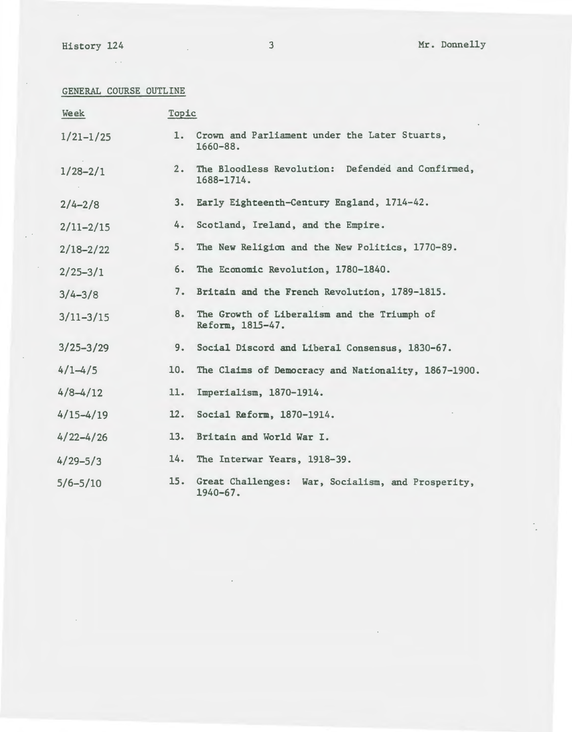$\epsilon$ 

 $\mathcal{L}^{(1)}$ 

 $\sim$ 

 $\sim$ 

 $\label{eq:2} \frac{1}{\sqrt{2}}\left(\frac{1}{\sqrt{2}}\right)^{2} \left(\frac{1}{\sqrt{2}}\right)^{2} \left(\frac{1}{\sqrt{2}}\right)^{2} \left(\frac{1}{\sqrt{2}}\right)^{2} \left(\frac{1}{\sqrt{2}}\right)^{2} \left(\frac{1}{\sqrt{2}}\right)^{2} \left(\frac{1}{\sqrt{2}}\right)^{2} \left(\frac{1}{\sqrt{2}}\right)^{2} \left(\frac{1}{\sqrt{2}}\right)^{2} \left(\frac{1}{\sqrt{2}}\right)^{2} \left(\frac{1}{\sqrt{2}}\right)^{2} \left(\frac{$ 

History 124 3 Mr. Donnelly

 $\hat{\mathcal{L}}$ 

GENERAL COURSE OUTLINE

| Week          | Topic |                                                                   |
|---------------|-------|-------------------------------------------------------------------|
| $1/21 - 1/25$ |       | 1. Crown and Parliament under the Later Stuarts,<br>$1660 - 88.$  |
| $1/28 - 2/1$  | $2 -$ | The Bloodless Revolution: Defended and Confirmed,<br>1688-1714.   |
| $2/4 - 2/8$   | 3.    | Early Eighteenth-Century England, 1714-42.                        |
| $2/11 - 2/15$ | 4.    | Scotland, Ireland, and the Empire.                                |
| $2/18 - 2/22$ | 5.    | The New Religion and the New Politics, 1770-89.                   |
| $2/25 - 3/1$  | 6.    | The Economic Revolution, 1780-1840.                               |
| $3/4 - 3/8$   | 7.    | Britain and the French Revolution, 1789-1815.                     |
| $3/11 - 3/15$ | 8.    | The Growth of Liberalism and the Triumph of<br>Reform, 1815-47.   |
| $3/25 - 3/29$ | 9.    | Social Discord and Liberal Consensus, 1830-67.                    |
| $4/1 - 4/5$   | 10.   | The Claims of Democracy and Nationality, 1867-1900.               |
| $4/8 - 4/12$  | 11.   | Imperialism, 1870-1914.                                           |
| $4/15 - 4/19$ | 12.   | Social Reform, 1870-1914.                                         |
| $4/22 - 4/26$ | 13.   | Britain and World War I.                                          |
| $4/29 - 5/3$  | 14.   | The Interwar Years, 1918-39.                                      |
| $5/6 - 5/10$  | 15.   | Great Challenges: War, Socialism, and Prosperity,<br>$1940 - 67.$ |

 $\sim$